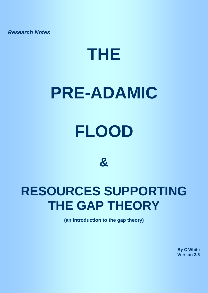*Research Notes*

# **THE**

# **PRE-ADAMIC**

# **FLOOD**

**&** 

# **RESOURCES SUPPORTING THE GAP THEORY**

**(an introduction to the gap theory)**

**By C White Version 2.5**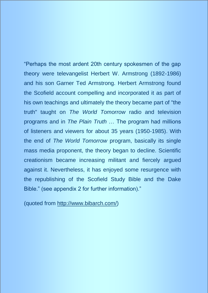"Perhaps the most ardent 20th century spokesmen of the gap theory were televangelist Herbert W. Armstrong (1892-1986) and his son Garner Ted Armstrong. Herbert Armstrong found the Scofield account compelling and incorporated it as part of his own teachings and ultimately the theory became part of "the truth" taught on *The World Tomorrow* radio and television programs and in *The Plain Truth* … The program had millions of listeners and viewers for about 35 years (1950-1985). With the end of *The World Tomorrow* program, basically its single mass media proponent, the theory began to decline. Scientific creationism became increasing militant and fiercely argued against it. Nevertheless, it has enjoyed some resurgence with the republishing of the Scofield Study Bible and the Dake Bible." (see appendix 2 for further information)."

(quoted from [http://www.bibarch.com/\)](http://www.bibarch.com/)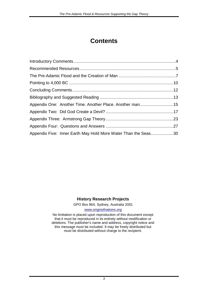# **Contents**

| Appendix One: Another Time. Another Place. Another man15       |
|----------------------------------------------------------------|
|                                                                |
|                                                                |
|                                                                |
| Appendix Five: Inner Earth May Hold More Water Than the Seas30 |
|                                                                |

#### **History Research Projects**

GPO Box 864, Sydney, Australia 2001

#### [www.originofnations.org](http://www.originofnations.org/)

No limitation is placed upon reproduction of this document except that it must be reproduced in its entirety without modification or deletions. The publisher's name and address, copyright notice and this message must be included. It may be freely distributed but must be distributed without charge to the recipient.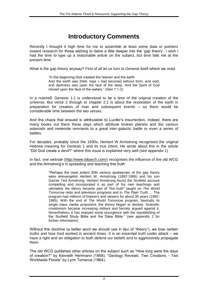# <span id="page-3-0"></span>**Introductory Comments**

Recently I thought it high time for me to assemble at least some data or pointers toward research for those wishing to delve a little deeper into the 'gap theory'. I wish I had the time to type up a reasonable article on the subject, but time fails me at the present time.

What is the gap theory anyway? First of all let us turn to Genesis itself where we read:

"In the beginning God created the heaven and the earth. And the earth was [Heb. *haja* = had become] without form, and void; and darkness *was* upon the face of the deep. And the Spirit of God moved upon the face of the waters." (Gen 1:1-2)

In a nutshell, Genesis 1:1 is understood to be a time of the original creation of the universe. But verse 2 through to chapter 2:1 is about the restoration of the earth in preparation for creation of man and subsequent events – so there would be considerable time between the two verses.

And the chaos that ensued is attributable to Lucifer's insurrection. Indeed, there are many books out there these days which attribute broken planets and the various asteroids and meteorite remnants to a great inter-galactic battle or even a series of battles.

For decades, probably since the 1930s, Herbert W Armstrong recognised the original Hebrew meaning for Genesis 1 and its true intent. He wrote about this in the article "Did God create a devil?" where this issue is explained very well (see appendix 1)

In fact, one website [\(http://www.bibarch.com/\)](http://www.bibarch.com/) recognises the influence of the old WCG and the Armstrong's in spreading and teaching this truth:

> "Perhaps the most ardent 20th century spokesmen of the gap theory were televangelist Herbert W. Armstrong (1892-1986) and his son Garner Ted Armstrong. Herbert Armstrong found the Scofield account compelling and incorporated it as part of his own teachings and ultimately the theory became part of "the truth" taught on *The World Tomorrow* radio and television programs and in *The Plain Truth* … The program had millions of listeners and viewers for about 35 years (1950- 1985). With the end of *The World Tomorrow* program, basically its single mass media proponent, the theory began to decline. Scientific creationism became increasing militant and fiercely argued against it. Nevertheless, it has enjoyed some resurgence with the republishing of the Scofield Study Bible and the Dake Bible." (see appendix 2 for further information)

Without this doctrine (a better word we should use in lieu of "theory"), we lose certain truths and how God worked in ancient times. It is an essential truth under attack – we have a right and an obligation to both defend our beliefs and to aggressively propagate them.

The old WCG published other articles on the subject such as "How long were the days of creation?" by Kenneth Herrmann (1958), "Geology Reveals: Two Creations - Two Worldwide Floods" by Lynn Torrance (1964).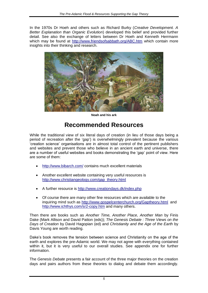In the 1970s Dr Hoeh and others such as Richard Burky (*Creative Development. A Better Explanation than Organic Evolution*) developed this belief and provided further detail. See also the exchange of letters between Dr Hoeh and Kenneth Herrmann which may be found at<http://www.friendsofsabbath.org/ABC.htm> which contain more insights into their thinking and research.



**Noah and his ark**

## <span id="page-4-0"></span>**Recommended Resources**

While the traditional view of six literal days of creation (in lieu of those days being a period of recreation after the 'gap') is overwhelmingly prevalent because the various 'creation science' organisations are in almost total control of the pertinent publishers and websites and prevent those who believe in an ancient earth and universe, there are a number of useful websites and books demonstrating the 'gap' point of view. Here are some of them:

- <http://www.bibarch.com/> contains much excellent materials
- Another excellent website containing very useful resources is [http://www.christiangeology.com/gap\\_theory.html](http://www.christiangeology.com/gap_theory.html)
- A further resource is <http://www.creationdays.dk/index.php>
- Of course there are many other fine resources which are available to the inquiring mind such as<http://www.gospelcenterchurch.org/Gaptheory.html>and <http://www.ichthys.com/sr2-copy.htm> and many others.

Then there are books such as *Another Time, Another Place, Another Man* by Finis Dake (Mark Allison and David Patton (eds)); *The Genesis Debate : Three Views on the Days of Creation* by David Hagopian (ed) and *Christianity and the Age of the Earth* by Davis Young are worth reading.

Dake's book removes the tension between science and Christianity on the age of the earth and explores the pre-Adamic world. We may not agree with everything contained within it, but it is very useful to our overall studies. See appendix one for further information.

The *Genesis Debate* presents a fair account of the three major theories on the creation days and pairs authors from these theories to dialog and debate them accordingly.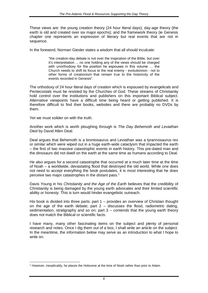These views are: the young creation theory (24 hour literal days); day-age theory (the earth is old and created over six major epochs); and the framework theory (ie Genesis chapter one represents an expression of literary but real events that are not in sequence.

In the foreword, Norman Giesler states a wisdom that all should inculcate:

"the creation-day debate is not over the inspiration of the Bible, but over it's interpretation ... no one holding any of the views should be charged with unorthodoxy for the position he espouses in this volume … the Church needs to shift its focus to the real enemy - evolutionism - not to other forms of creationism that remain true to the historicity of the events recorded in Genesis".

The orthodoxy of 24 hour literal days of creation which is espoused by evangelicals and Pentecostals must be resisted by the Churches of God. These streams of Christianity hold control over the institutions and publishers on this important Biblical subject. Alternative viewpoints have a difficult time being heard or getting published. It is therefore difficult to find their books, websites and there are probably no DVDs by them.

Yet we must solider on with the truth.

Another work which is worth ploughing through is *The Day Behemoth and Leviathan Died* by David Allen Deal.

Deal argues that Behemoth is a brontosaurus and Leviathan was a tyrannosaurus rex or similar which were wiped out in a huge earth-wide cataclysm that impacted the earth – the first of two massive catastrophic events in earth history. This pre-dated man and the dinosaurs did not dwell on the earth at the same time as humans according to Deal.

He also argues for a second catastrophe that occurred at a much later time at the time of Noah – a worldwide, devastating flood that destroyed the old world. While one does not need to accept everything the book postulates, it is most interesting that he does perceive two major catastrophes in the distant pass.<sup>1</sup>

Davis Young in his *Christianity and the Age of the Earth* believes that the credibility of Christianity is being damaged by the young earth advocates and their limited scientific ability or honesty. This is turn would hinder evangelistic outreach.

His book is divided into three parts: part 1 – provides an overview of Christian thought on the age of the earth debate; part  $2 -$  discusses the flood, radiometric dating, sedimentation, stratigraphy and so on; part 3 – contends that the young earth theory does not match the Biblical or scientific facts.

I have many, many other fascinating items on the subject and plenty of personal research and notes. Once I dig them out of a box, I shall write an article on the subject. In the meantime, the information below may serve as an introduction to what I hope to write on.

l <sup>1</sup> However, inexplicably, he places the Holocene at the time of Noah rather than prior to Adam.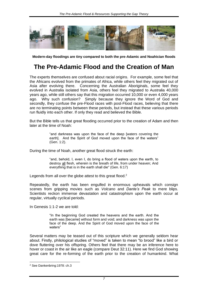

**Modern-day floodings are tiny compared to both the pre-Adamic and Noahician floods**

## <span id="page-6-0"></span>**The Pre-Adamic Flood and the Creation of Man**

The experts themselves are confused about racial origins. For example, some feel that the Africans evolved from the primates of Africa, while others feel they migrated out of Asia after evolving there. Concerning the Australian Aboriginals, some feel they evolved in Australia isolated from Asia, others feel they migrated to Australia 40,000 years ago, while still others say that this migration occurred 10,000 or even 4,000 years ago. Why such confusion? Simply because they ignore the Word of God and secondly, they confuse the pre-Flood races with post-Flood races, believing that there are no terminating points between these periods, but instead that these various periods run fluidly into each other. If only they read and believed the Bible.

But the Bible tells us that great flooding occurred prior to the creation of Adam and then later at the time of Noah:

> "and darkness was upon the face of the deep [waters covering the earth]. And the Spirit of God moved upon the face of the waters" (Gen. 1:2).

During the time of Noah, another great flood struck the earth:

"and, behold, I, even I, do bring a flood of waters upon the earth, to destroy all flesh, wherein is the breath of life, from under heaven; And everything that is in the earth shall die" (Gen. 6:17)

Legends from all over the globe attest to this great flood. $2^2$ 

Repeatedly, the earth has been engulfed in enormous upheavals which consign scenes from gripping movies such as *Volcano* and *Dante's Peak* to mere blips. Scientists reckon immense devastation and catastrophism upon the earth occur at regular, virtually cyclical periods.

In Genesis 1:1-2 we are told:

"In the beginning God created the heavens and the earth. And the earth was [became] without form and void; and darkness was upon the face of the deep. And the Spirit of God moved upon the face of the waters"

Several matters may be teased out of this scripture which we generally seldom hear about. Firstly, philological studies of "moved" is taken to mean "to brood" like a bird or dove fluttering over his offspring. Others feel that there may be an inference here to hover or coast in the air like an eagle (compare Deut 32:11). Here we find God showing great care for the re-forming of the earth prior to the creation of humankind. What

l

<sup>2</sup> See Dankenbring:1978: ch.3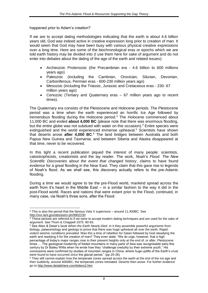#### happened prior to Adam's creation?

If we are to accept dating methodologies indicating that the earth is about 4.6 billion years old, God was indeed active in creative expression long prior to creation of man. It would seem that God may have been busy with various physical creative expressions over a long time. Here are some of the biochronological eras or epochs which we are told earth history may be divided into (I use them here for sake of argument and do not enter into debates about the dating of the age of the earth and related issues):

- Archeozoic Proterozoic (the Precambrian era 4.6 billion to 600 millions years ago)
- Paleozoic (including the Cambrian, Orovician, Silurian, Devonian, Carboniferous, Permian eras - 600-230 million years ago)
- Mesozoic (including the Triassic, Jurassic and Cretaceous eras 230- 67 million years ago)
- Cenozoic (Tertiary and Quaternary eras 67 million years ago to recent times).

The Quaternary era consists of the Pleistocene and Holocene periods. The Pleistocene period was a time when the earth experienced an horrific Ice Age followed by tremendous flooding during the Holocene period.<sup>3</sup> The Holocene commenced about 11,000 BC and ended **about 4,000 BC** (please note that there was enormous flooding, but the entire globe was not subdued with water on this occasion).  $4$  Entire species were extinguished and the world experienced immense upheaval.<sup>5</sup> Scientists have shown that deserts arose **after 4,000 BC**.<sup>6</sup> The land bridges between Australia and both Papua New Guinea and Tasmania; and between Siberia and Alaska disappeared at that time, never to be recovered.

In this light a recent publication piqued the interest of many people: scientists, catostrophicists, creationists and the lay reader. The work, *Noah's Flood. The New Scientific Discoveries about the event that changed history*, claims to have found evidence for a great flooding in the Near East. They claim that this gave rise to legends of Noah's flood. As we shall see, this discovery actually refers to the pre-Adamic flooding.

During a time we would agree to be the pre-Flood world, mankind spread across the earth from it's heart in the Middle East – in a similar fashion to the way it did in the post-Flood world. Races and nations that were extant prior to the Flood, continued, in many case, via Noah's three sons, after the Flood:

<sup>5</sup> See Allan & Delair's book *When the Earth Nearly Died*. In it they assemble powerful arguments from biology, palaeontology and geology to prove that there was huge upheaval all over the earth. Rapid, violent seismic conditions prevailed. Was this a time of rebellion for Satan followed by God steadying the earth and readying it for the creation of man? They even state: "We do urge, however, that a high percentage of today's major ranges rose to their present heights only at the end of, or after, Pleistocene times … The geological modernity of folded mountains in many parts of Asia was recognisable early this century by Dr Bailey Willis when he wrote how they "challenge credulity by their extreme youth." His conclusions were confirmed by studies of mountain ranges in China, where huge uplifts of the Earth's crust were found to have occurred *since* the glacial period." (pp 25-26)

l <sup>3</sup> This is also the period that the famous Vela X supernova – around 11,400BC. See http://xxx.lanl.gov/abs/astro-ph/9902230

<sup>&</sup>lt;sup>4</sup> These periods are referred to if we were to accept modern dating techniques and are used for the sake of argument. See Thom & Chappell 1975: 90-93.

<sup>&</sup>lt;sup>6</sup> They still cannot explain how the temperate zones spread across the earth at the end of the ice age and then suddenly, around 4000BC, the temperate zones retreated. Deserts then arose. For further evidence go to http://www.detailshere.com/letters2.htm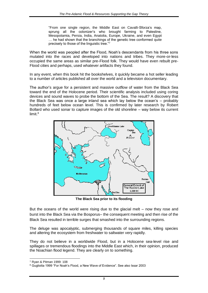"From one single region, the Middle East on Cavalli-Sforza's map, sprung all the colonizer's who brought farming to Palestine, Mesopotamia, Persia, India, Anatolia, Europe, Ukraine, and even Egypt … he had shown that the branchings of the genetic tree conformed quite precisely to those of the linguistic tree."7

When the world was peopled after the Flood, Noah's descendants from his three sons mutated into the races and developed into nations and tribes. They more-or-less occupied the same areas as similar pre-Flood folk. They would have even rebuilt pre-Flood cities and perhaps, used whatever artifacts they found.

In any event, when this book hit the bookshelves, it quickly became a hot seller leading to a number of articles published all over the world and a television documentary.

The author's argue for a persistent and massive outflow of water from the Black Sea toward the end of the Holocene period. Their scientific analysis included using coring devices and sound waves to probe the bottom of the Sea. The result? A discovery that the Black Sea was once a large inland sea which lay below the ocean's – probably hundreds of feet below ocean level. This is confirmed by later research by Robert Bollard who used sonar to capture images of the old shoreline – way below its current limit. $8$ 



**The Black Sea prior to its flooding**

But the oceans of the world were rising due to the glacial melt – now they rose and burst into the Black Sea via the Bosporus– the consequent meeting and then rise of the Black Sea resulted in terrible surges that smashed into the surrounding regions.

The deluge was apocalyptic, submerging thousands of square miles, killing species and altering the ecosystem from freshwater to saltwater very rapidly.

They do not believe in a worldwide Flood, but in a Holocene sea-level rise and spillages or tremendous floodings into the Middle East which, in their opinion, produced the Noachian flood legend. They are clearly on to something.

l <sup>7</sup> Ryan & Pitman 1999: 108

<sup>8</sup> Gugliotta 1999 "For Noah's Flood, a New Wave of Evidence". See also Issar 2003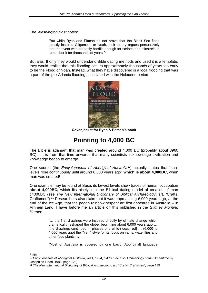The *Washington Post* notes:

"But while Ryan and Pitman do not prove that the Black Sea flood directly inspired Gilgamesh or Noah, their theory argues persuasively that the event was probably horrific enough for scribes and minstrels to remember it for thousands of years."<sup>9</sup>

But alas! If only they would understand Bible dating methods and used it is a template, they would realise that this flooding occurs approximately thousands of years too early to be the Flood of Noah. Instead, what they have discovered is a local flooding that was a part of the pre-Adamic flooding associated with the Holocene period.



**Cover jacket for Ryan & Pitman's book**

# <span id="page-9-0"></span>**Pointing to 4,000 BC**

The Bible is adamant that man was created around 4,000 BC (probably about 3960 BC) – it is from that time onwards that many scientists acknowledge civilization and knowledge began to emerge.

One source (the *Encyclopaedia of Aboriginal Australia<sup>10</sup>)* actually states that "sealevels rose continuously until around 6,000 years ago" **which is about 4,000BC**, when man was created!

One example may be found at Susa, its lowest levels show traces of human occupation **about 4,000BC,** which fits nicely into the Biblical dating model of creation of man c4000BC (see *The New International Dictionary of Biblical Archaeology*, art. "Crafts, Craftsmen").<sup>11</sup> Researchers also claim that it was approaching 6,000 years ago, at the end of the Ice Age, that the pagan rainbow serpent art first appeared in Australia – in Arnhem Land. I have before me an article on this published in the *Sydney Morning Herald*:

> "… the first drawings were inspired directly by climate change which dramatically reshaped the globe, beginning about 6,000 years ago … [the drawings continued in phases one which occurred] … (6,000 to 4,000 years ago) the "Yam" style for its focus on yams, waterlilies and other food plants …

> "Most of Australia is covered by one basic [Aboriginal] language

<sup>&</sup>lt;sup>9</sup> ibid

<sup>10</sup> *Encyclopaedia of Aboriginal Australia*, vol 1, 1994, p 473. See also *Archaeology of the Dreamtime* by Josephine Flood, 1983, page 123)

<sup>11</sup> *The New International Dictionary of Biblical Archaeology*, art. "Crafts, Craftsmen", page 139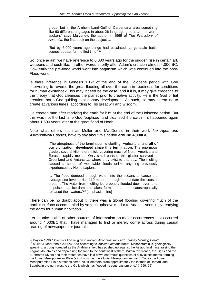group, but in the Arnhem Land-Gulf of Carpentaria area something like 60 different languages in about 26 language groups are, or were, spoken," says Mulvaney, the author in 1969 of *The Prehistory of Australia*, the first book on the subject …

"But by 6,000 years ago things had escalated. Large-scale battle scenes appear for the first time."<sup>12</sup>

So, once again, we have reference to 6,000 years ago for the sudden rise in certain art, weapons and such like. In other words shortly after Adam's creation almost 4,000 BC. How early the pre-flood world went into paganism which was continued into the post-Flood world.

Is there inference in Genesis 1:1-2 of the end of the Holocene period with God intervening to reverse the great flooding all over the earth in readiness for conditions for human existence? This may indeed be the case; and if it is, it may give credence to the theory that God cleanses the planet prior to creative activity. He is the God of fiat creation, not a God guiding evolutionary development. As such, He may determine to create at various times, according to His great will and wisdom.

He created man after readying the earth for him at the end of the Holocene period. But this was not the last time God 'baptised' and cleansed the earth – it happened again about 1,600 years later at the great flood of Noah.

Note what others such as Muller and MacDonald in their work *Ice Ages and Astronomical Causes*, have to say about this period **around 4,000BC**:

> "The abruptness of the termination is startling. Agriculture, and **all of our civilization, developed since this termination**. The enormous glacier, several kilometers thick, covering much of North America and Eurasia, rapidly melted. Only small parts of this glacier survived in Greenland and Antarctica, where they exist to this day. The melting caused a series of worldwide floods unlike anything previously experienced by Homo sapiens.

> … The flood dumped enough water into the oceans to cause the average sea level to rise 110 meters, enough to inundate the coastal areas… The water from melting ice probably flooded down over land in pulses, as ice-dammed lakes formed and then catastrophically released their waters."<sup>13</sup> [emphasis mine]

There can be no doubt about it, there was a global flooding covering much of the earth's surface accompanied by various upheavals prior to Adam – seemingly readying the earth for human habitation.

Let us take notice of other sources of information on major occurrences that occurred around 4,000BC that I have managed to find or merely come across during casual reading of newspapers or journals.

l <sup>12</sup> Dayton 1996 "Scientists find religion in ancient Aboriginal rock art", *Sydney Morning Herald*

<sup>13</sup> Muller & MacDonald 2000:4. And according to *Ancient Mesopotamia*: "Mesopotamia is, geologically speaking, a trough created as the Arabian shield has pushed up against the Asiatic landmass, raising the Zagros Mountains and depressing the land to the southwest of them. Within this trench, the Tigris and the Euphrates Rivers and their tributaries have laid down enormous quantities of alluvial sediments, forming the Lower Mesopotamian Plain (also known as the alluvial Mesopotamian plain). Today the Lower Mesopotamian Plain stretches some 700 kilometers, from approximately the latitude of Ramadi and Baquba in the northwest to the Gulf, which has flooded its southeastern end." (1999: 29)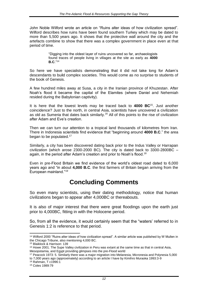John Noble Wilford wrote an article on "Ruins alter ideas of how civilization spread". Wilford describes how ruins have been found southern Turkey which may be dated to more than 5,500 years ago. It shows that the protective wall around the city and the artefacts combine to show that there was a complex government in place even at that period of time.

> "Digging into the oldest layer of ruins uncovered so far, archaeologists found traces of people living in villages at the site as early as **4000 B.C**."<sup>14</sup>

So here we have specialists demonstrating that it did not take long for Adam's descendants to build complex societies. This would come as no surprise to students of the book of Genesis.

A few hundred miles away at Susa, a city in the Iranian province of Khuzestan. After Noah's flood it became the capital of the Elamites (where Daniel and Nehemiah resided during the Babylonian captivity).

It is here that the lowest levels may be traced back to **4000 BC**<sup>15</sup>. Just another coincidence? Just to the north, in central Asia, scientists have uncovered a civilization as old as Sumeria that dates back similarly.<sup>16</sup> All of this points to the rise of civilization after Adam and Eve's creation.

Then we can turn our attention to a tropical land thousands of kilometres from Iran. There in Indonesia scientists find evidence that "beginning around **4000 B.C**." the area began to be populated.<sup>17</sup>

Similarly, a city has been discovered dating back prior to the Indus Valley or Harrapan civilization (which arose 2300-2000 BC). The city is dated back to 3300-2800BC – again, in the period after Adam's creation and prior to Noah's flood.<sup>18</sup>

Even in pre-Flood Britain we find evidence of the world's oldest road dated to 6,000 years ago and "in about **4,000 B.C**. the first farmers of Britain began arriving from the European mainland."<sup>19</sup>

## <span id="page-11-0"></span>**Concluding Comments**

So even many scientists, using their dating methodology, notice that human civilizations began to appear after 4,000BC or thereabouts.

It is also of major interest that there were great floodings upon the earth just prior to 4,000BC, fitting in with the Holocene period.

So, from all the evidence, it would certainly seem that the "waters' referred to in Genesis 1:2 is reference to that period.

to 7,000 years ago (approximately) according to an article I have by Kimihro Muraoka 1993:3-9

l

<sup>14</sup> Wilford 2000 "Ruins alter ideas of how civilization spread". A similar article was published by W Mullen in the Chicago Tribune, also mentioning 4,000 BC.

<sup>15</sup> Blaiklock & Harrison: 139

<sup>&</sup>lt;sup>16</sup> Howe 2001. The Supe Valley civilization in Peru was extant at the same time as that in central Asia, Mesopotamia, and Egypt providing glimpses into the pre-Flood world

<sup>17</sup> Peacock 1973: 5. Similarly there was a major migration into Melanesia, Micronesia and Polynesia 5,000

<sup>18</sup> Rahman, T c1996:1

<sup>19</sup> Coles 1989:79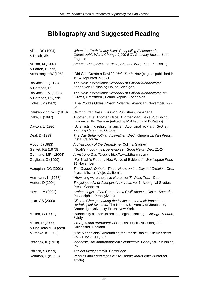# <span id="page-12-0"></span>**Bibliography and Suggested Reading**

| Allan, DS (1994)                            | When the Earth Nearly Died. Compelling Evidence of a<br>Catastrophic World Change 9,500 BC", Gateway Books, Bath,                                            |
|---------------------------------------------|--------------------------------------------------------------------------------------------------------------------------------------------------------------|
| & Delair, JB                                | England                                                                                                                                                      |
| Allison, M (1997)                           | Another Time, Another Place, Another Man, Dake Publishing                                                                                                    |
| & Patton, D (eds)                           |                                                                                                                                                              |
| Armstrong, HW (1958)                        | "Did God Create a Devil?", Plain Truth, Nov (original published in<br>1954, reprinted in 1971)                                                               |
| Blaiklock, E (1983)<br>& Harrison, R        | The New International Dictionary of Biblical Archaeology.<br>Zondervan Publishing House, Michigan                                                            |
| Blaiklock, EM (1983)<br>& Harrison, RK, eds | The New International Dictionary of Biblical Archaeology, art.<br>"Crafts, Craftsmen", Grand Rapids: Zondervan                                               |
| Coles, JM (1989)                            | "The World's Oldest Road", Scientific American, November: 79-<br>84                                                                                          |
| Dankenbring, WF (1978)                      | Beyond Star Wars. Triumph Publishers, Pasadena                                                                                                               |
| Dake, F (1997)                              | Another Time. Another Place. Another Man. Dake Publishing,<br>Lawrenceville, Georgia (edited by M Allison and D Patton)                                      |
| Dayton, L (1996)                            | "Scientists find religion in ancient Aboriginal rock art", Sydney<br>Morning Herald, 26 October                                                              |
| Deal, D (1999)                              | The Day Behemoth and Leviathan Died. Kherem La Yah Press,<br>Vista, California                                                                               |
| Flood, J (1983)                             | Archaeology of the Dreamtime. Collins, Sydney                                                                                                                |
| Gentet, RE (1973)                           | "Noah's Flood - Is it believable?", Good News, Dec: 21-24                                                                                                    |
| Germano, MP (c2004)                         | Armstrong Gap Theory, http://www.bibarch.com/                                                                                                                |
| Gugliotta, G (1999)                         | "For Noah's Flood, a New Wave of Evidence", Washington Post,<br>18 November                                                                                  |
| Hagopian, DG (2001)                         | The Genesis Debate. Three Views on the Days of Creation. Crux<br>Press, Mission Viejo, California.                                                           |
| Herrmann, K (1958)                          | "How long were the days of creation?", Plain Truth, Dec.                                                                                                     |
| Horton, D (1994)                            | Encyclopaedia of Aboriginal Australia, vol 1, Aboriginal Studies<br>Press, Canberra.                                                                         |
| Howe, LM (2001)                             | Archaeologists Find Central Asia Civilization as Old as Sumeria.<br>Philadelphia, Pennsylvania                                                               |
| Issar, AS (2003)                            | Climate Changes during the Holocene and their Impact on<br>Hydrological Systems. The Hebrew University of Jerusalem,<br>Cambridge University Press, New York |
| Mullen, W (2001)                            | "Buried city shakes up archaeological thinking", Chicago Tribune,<br>6 July                                                                                  |
| Muller, R (2000)                            | Ice Ages and Astronomical Causes. PraxisPublishing Ltd,                                                                                                      |
| & MacDonald GJ (eds)                        | Chichester, England                                                                                                                                          |
| Muraoka, K (1993)                           | "The Mongoloids Surrounding the Pacific Basin", Pacific Friend.<br>Vol 21, no.3, July: 3-9                                                                   |
| Peacock, IL (1973)                          | Indonesia: An Anthropological Perspective. Goodyear Publishing,<br>Co                                                                                        |
| Pollock, S (1999)                           | Ancient Mesopotamia. Cambridge                                                                                                                               |
| Rahman, T (c1996)                           | Peoples and Languages in Pre-Islamic Indus Valley (internet<br>article)                                                                                      |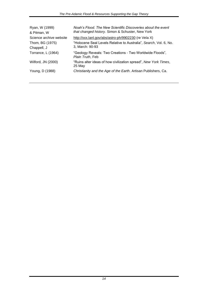| Ryan, W (1999)<br>& Pitman, W  | Noah's Flood. The New Scientific Discoveries about the event<br>that changed history. Simon & Schuster, New York |
|--------------------------------|------------------------------------------------------------------------------------------------------------------|
| Science archive website        | http://xxx.lanl.gov/abs/astro-ph/9902230 (re Vela X)                                                             |
| Thom, BG (1975)<br>Chappell, J | "Holocene Seal Levels Relative to Australia", Search, Vol. 6, No.<br>3, March: 90-93                             |
| Torrance, L (1964)             | "Geology Reveals: Two Creations - Two Worldwide Floods",<br>Plain Truth, Feb                                     |
| Wilford, JN (2000)             | "Ruins alter ideas of how civilization spread", New York Times,<br>25 May                                        |
| Young, D (1988)                | Christianity and the Age of the Earth. Artisan Publishers, Ca.                                                   |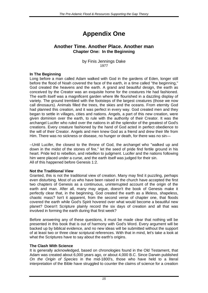# <span id="page-14-0"></span>**Appendix One**

#### **Another Time. Another Place. Another man Chapter One: In the Beginning**

by Finis Jennings Dake 1977

#### **In The Beginning**

Long before a man called Adam walked with God in the gardens of Eden, longer still before the flood of Noah covered the face of the earth, in a time called "the beginning," God created the heavens and the earth. A grand and beautiful design, the earth as conceived by the Creator was an exquisite home for the creatures He had fashioned. The earth itself was a magnificent garden where life flourished in a dazzling display of variety. The ground trembled with the footsteps of the largest creatures (those we now call dinosaurs). Animals filled the trees, the skies and the oceans. From eternity God had planned this creation, and it was perfect in every way. God created men and they began to settle in villages, cities and nations. Angels, a part of this new creation, were given dominion over the earth, to rule with the authority of their Creator. It was the archangel Lucifer who ruled over the nations in all the splendor of the greatest of God's creations. Every creature fashioned by the hand of God acted in perfect obedience to the will of their Creator. Angels and men knew God as a friend and drew their life from Him. There was no sickness or disease, no hunger or death, for there was no sin—

--Until Lucifer, the closest to the throne of God, the archangel who "walked up and down in the midst of the stones of fire," let the seed of pride find fertile ground in his heart. Pride led to rebellion, and rebellion to judgment. Lucifer and the nations following him were placed under a curse, and the earth itself was judged for their sin. All of this happened before Genesis 1:2.

#### **Not the Traditional View**

Granted, this is not the traditional view of creation. Many may find it puzzling, perhaps even disturbing. Most of us who have been raised in the church have accepted the first two chapters of Genesis as a continuous, uninterrupted account of the origin of the earth and man. After all, many may argue, doesn't the book of Genesis make it perfectly clear that, in the beginning, God created the earth as a lifeless, shapeless, chaotic mass? Isn't it apparent, from the second verse of chapter one, that floods covered the earth while God's Spirit hovered over what would become a beautiful new planet? Doesn't Scripture plainly record the six days of creation and all that was involved in forming the earth during that first week?

Before answering any of these questions, it must be made clear that nothing will be presented in this book that is out of harmony with God's Word. Every argument will be backed up by biblical evidence, and no new ideas will be submitted without the support of at least two or three clear scriptural references. With that in mind, let's take a look at what the Scriptures have to say about the earth's origins.

#### **The Clash With Science**

It is generally acknowledged, based on chronologies found in the Old Testament, that Adam was created about 6,000 years ago, or about 4,000 B.C. Since Darwin published *On the Origin of Species* in the mid-1800's, those who have held to a literal interpretation of the Bible have struggled to counter the claims of science for a creation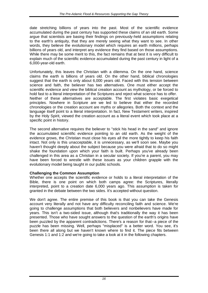date stretching billions of years into the past. Most of the scientific evidence accumulated during the past century has supported these claims of an old earth. Some argue that scientists are basing their findings on previously-held assumptions relating to the earth's antiquity, that they are merely seeing what they want to see. In other words, they believe the evolutionary model which requires an earth millions, perhaps billions of years old, and interpret any evidence they find based on those assumptions. While there may be some merit to this, the fact remains that at best it is very difficult to explain much of the scientific evidence accumulated during the past century in light of a 6,000-year-old earth.

Unfortunately, this leaves the Christian with a dilemma. On the one hand, science claims the earth is billions of years old. On the other hand, biblical chronologies suggest that the earth is only about 6,000 years old. Faced with this tension between science and faith, the believer has two alternatives. One must either accept the scientific evidence and view the biblical creation account as mythology, or be forced to hold fast to a literal interpretation of the Scriptures and reject what science has to offer. Neither of these alternatives are acceptable. The first violates basic exegetical principles. Nowhere in Scripture are we led to believe that either the recorded chronologies or the creation account are myths or allegories. Both the context and the language itself point to a literal interpretation. In fact, New Testament writers, inspired by the Holy Spirit, viewed the creation account as a literal event which took place at a specific point in history.

The second alternative requires the believer to "stick his head in the sand" and ignore the accumulated scientific evidence pointing to an old earth. As the weight of the evidence grows, the Christian must close his eyes all the more tightly to keep his faith intact. Not only is this unacceptable, it is unnecessary, as we'll soon see. Maybe you haven't thought deeply about the subject because you were afraid that to do so might shake the foundation upon which your faith is built. Perhaps you've already been challenged in this area as a Christian in a secular society. If you're a parent, you may have been forced to wrestle with these issues as your children grapple with the evolutionary model being taught in our public schools.

#### **Challenging the Common Assumption**

Whether one accepts the scientific evidence or holds to a literal interpretation of the Bible, there is one point on which both camps agree: the Scriptures, literally interpreted, point to a creation date 6,000 years ago. This assumption is taken for granted in the debate between the two sides. It's accepted without question.

We don't agree. The entire premise of this book is that you can take the Genesis account very literally and not have any difficulty reconciling faith and science. We're going to challenge assumptions that both believers and nonbelievers have made for years. This isn't a two-sided issue, although that's traditionally the way it has been presented. Those who have sought answers to the question of the earth's origins have been puzzled by the apparent contradictions. There's a reason for that--a piece of the puzzle has been missing. Well, perhaps "misplaced" is a better word. You see, it's been there all along but we haven't known where to find it. The piece fits between Genesis 1:1 and 1:2 and we're going to take a look at it in the following chapters.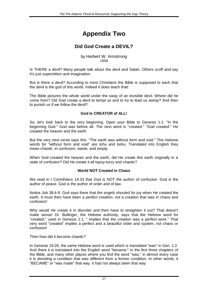# <span id="page-16-0"></span>**Appendix Two**

#### **Did God Create a DEVIL?**

by Herbert W. Armstrong 1958

Is THERE a devil? Many people talk about the devil and Satan. Others scoff and say it's just superstition and imagination.

But *is there a devil?* According to most Christians the Bible is supposed to each that the devil is the god of this world. Indeed it does teach that!

The Bible pictures the whole world under the sway of an invisible devil. Where did he come from? Did God create a devil to tempt us and to try to lead us astray? And then to punish us if we follow the devil?

#### **God Is CREATOR of ALL!**

So, let's look back to the very beginning. Open your Bible to Genesis 1:1. "In the beginning God." God was before all. The next word is "created." "God created." He created the heaven and the earth.

But the very next verse says this: "The earth was without form and void." The Hebrew words for "without form and void" are *tohu* and *bohu.* Translated into English they mean *chaotic, in confusion, waste,* and *empty.*

When God created the heaven and the earth, did He create this earth originally in a state of confusion? Did He create it all topsy-turvy and chaotic?

#### **World NOT Created in Chaos**

We read in I Corinthians 14:33 that *God is* NOT *the author of confusion*. God is the author of peace. God is the author of order and of law.

Notice Job 38:4-9. God says there that *the angels* shouted for joy when He created the earth. It must then have been a *perfect creation, not* a creation that was in chaos and confusion!

Why would He create it in disorder and then have to straighten it out? That doesn't make sense! Dr. Bullinger, the Hebrew authority, says that the Hebrew word for "created," used in Genesis 1:1, " implies that the creation was a perfect work." That very word "created" implies a perfect and a beautiful order and system, not chaos or confusion!

Then how did it *become* chaotic?

In Genesis 19:26, the same Hebrew word is used which is translated "was" in Gen. 1:2. And there it is translated into the English word "became." In the first three chapters of the Bible, and many other places where you find the word "was," in almost every case it is denoting a condition that was *different* from a former condition. In other words, it "BECAME" or "was made" that way. It had not always been that way.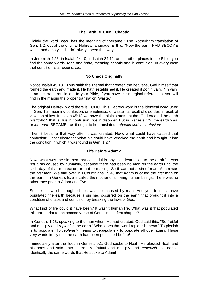#### **The Earth BECAME Chaotic**

Plainly the word "was" has the meaning of "became." The Rotherham translation of Gen. 1:2, out of the original Hebrew language, is this: "Now the earth HAD BECOME waste and empty." It hadn't always been that way.

In Jeremiah 4:23, in Isaiah 24:10, in Isaiah 34:11, and in other places in the Bible, you find the same words, *toha* and *boha,* meaning chaotic and in confusion. In every case that condition is a *result of sin.*

#### **No Chaos Originally**

Notice Isaiah 45:18. "Thus saith the Eternal that created the heavens, God himself that formed the earth and made it, He hath established it, He created it *not* in vain." "In vain" is an incorrect translation. In your Bible, if you have the marginal references, you will find in the margin the proper translation "waste."

The original Hebrew word there is TOHU. This Hebrew word is the identical word used in Gen. 1:2, meaning confusion, or emptiness. or waste - a result of disorder, a result of violation of law. In Isaiah 45:18 we have the plain statement that God created the earth *not* "toho," that is, *not* in confusion, *not* in disorder. But in Genesis 1:2, the earth was, or *the earth* BECAME - as it ought to he translated - *chaotic and in confusion!*

Then it became that way after it was created. Now, what could have caused that confusion? - that disorder? What sin could have wrecked the earth and brought it into the condition in which it was found in Gen. 1:2?

#### **Life Before Adam?**

Now, what was the sin then that caused this physical destruction to the earth? It was *not* a sin caused by humanity, because there had been no man on the earth until the sixth day of that re-creation or that re-making. So it was not a sin of man. Adam was the *first* man. We find over in I Corinthians 15:45 that Adam is called the *first* man on this earth. In Genesis Eve is called the mother of all living human beings. There was no other race prior to Adam and Eve.

So the sin which brought chaos was not caused by man. And yet life must have populated the earth because a sin had occurred on the earth that brought it into a condition of chaos and confusion by breaking the laws of God.

What kind of life could it have been? It wasn't human life. What was it that populated this earth prior to the second verse of Genesis, the first chapter?

In Genesis 1:28, speaking to the man whom He had created, God said this: ''Be fruitful and multiply and *replenish* the earth." What does that word replenish mean? To plenish is to populate. To *replenish* means to *re*populate - to populate all over again. Those very words imply that the earth had been populated before!

Immediately after the flood in Genesis 9:1, God spoke to Noah. He blessed Noah and his sons and said unto them: "Be fruitful and multiply and *replenish* the earth." Identically the same words that He spoke to Adam!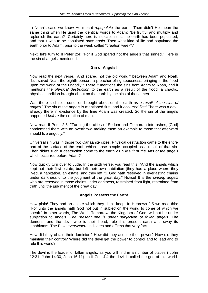In Noah's case we know He meant *repopulate* the earth. Then didn't He mean the same thing when He used the identical words to Adam: "Be fruitful and multiply and replenish the earth?" Certainly here is indication that the earth had been populated, and that it was to be populated *once again*. Then what kind of life had populated the earth prior to Adam, prior to the week called "creation week"?

Next, let's turn to II Peter 2:4: ''For if God spared not the angels that sinned.'' Here is the sin of angels mentioned.

#### **Sin of Angels!**

Now read the next verse, "And spared not the old world," between Adam and Noah, ''but saved Noah the eighth person, a preacher of righteousness, bringing in the flood upon the world of the ungodly." There it mentions the sins from Adam to Noah, and it mentions the *physical destruction* to the earth as a result of the flood, a chaotic, physical condition brought about on the earth by the sins of those men.

Was there a chaotic condition brought about on the earth *as a result of the sins of angles?* The sin of the angels is mentioned first, and it *occurred first!* There was a devil already there in existence by the time Adam was created. So the sin of the angels happened *before* the creation of man.

Now read II Peter 2:6. ''Turning the cities of Sodom and Gomorrah into ashes, [God] condemned them with an overthrow, making them an example to those that afterward should live ungodly."

Universal sin was in those two Canaanite cities. Physical destruction came to the entire part of the surface of the earth which those people occupied as a result of that sin. Then didn't such a destruction come to the earth *as a result of the sins of the angels*  which occurred before Adam?

Now quickly turn over to Jude. In the sixth verse, you read this: "And the angels which kept not their first estate, but left their own habitation [they had a place where they lived, a habitation, an estate, and they left it], God hath reserved in everlasting chains under darkness unto the judgment of the great day." Notice! It is the *sinning angels*  who are reserved in those chains under darkness, restrained from light, restrained from truth until the judgment of the great day.

#### **Angels Possess the Earth!**

How plain! They had an estate which they didn't keep. In Hebrews 2:5 we read this: ''For unto the angels hath God not put in subjection the world to come of which we speak." In other words, The World Tomorrow, the Kingdom of God, will not be under subjection to angels. *The present one is under subjection of fallen angels.* The demons, and the devil who is their head, rule this present earth and sway its inhabitants. The Bible everywhere indicates and affirms that very fact.

How did they obtain their dominion? How did they acquire their power? How did they maintain their control? Where did the devil get the power to control and to lead and to rule this world?

The devil is the leader of fallen angels, as you will find in a number of places ( John 12:31, John 14:30, John 16:11). In II Cor. 4:4 the devil is called the god of this world.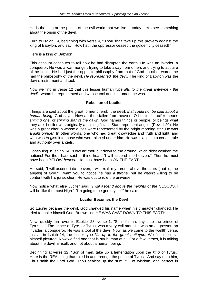He is the king or the prince of the evil world that we live in today. Let's see something about the origin of the devil.

Turn to Isaiah 14, beginning with verse 4, "'Thou shalt take up this proverb against the king of Babylon, and say, 'How hath the oppressor ceased the golden city ceased!'"

Here is a king of Babylon.

This account continues to tell how he had disrupted the earth. He was an invader, a conqueror. He was a war monger, trying to take away from others and trying to acquire all he could. He had just the opposite philosophy from that of God. In other words, he had the philosophy of the devil. *He represented. the devil.* The king of Babylon was the devil's instrument and tool.

Now we find in verse 12 that this lesser human type *lifts to the great anti-type - the devil* - whom he represented and whose tool and instrument he was.

#### **Rebellion of Lucifer**

Things are said about the great former cherub, the devil, *that could not be said about a human being.* God says, "How art thou fallen from heaven, O Lucifer." Lucifer means *shining one,* or *shining star of the dawn.* God names things or people, or beings what they are. Lucifer was originally a shining "star." Stars represent angels (Rev. 1:20). He was a great cherub whose duties were represented by the bright morning star. He was a *light bringer.* In other words, one who had great knowledge and truth and light, and who was *to give* it to those who were placed under him. He was placed in a certain rule and authority over angels.

Continuing in Isaiah 14: "How art thou cut down to the ground which didst weaken the nations! For thou hast said in thine heart, 'I will ascend into heaven.'" Then he must have been BELOW *heaven.* He must have been ON THE EARTH.

He said, "I will ascend into heaven, I will exalt my throne above the stars (that is, the angels] of God." I want you to notice *he had a throne,* but he wasn't willing to be content with his jurisdiction. He was out to rule the universe.

Now notice what else Lucifer said: *"I will ascend above the heights of the* CLOUDS. I will be like the most High." "I'm going to be god myself," he said.

#### **Lucifer Becomes the Devil**

So Lucifer became the devil. God changed his name when his character changed. He tried to make himself God. But we find HE WAS CAST DOWN TO THIS EARTH.

Now, quickly turn over to Ezekiel 28, verse 1. "Son of man, say unto the prince of Tyrus. . ." The prince of Tyre, or Tyrus, was a very evil man. He was an aggressor, an invader, a conqueror. He was a tool of the devil. Now, as we come to the twelfth verse, just as in Isaiah 14, the lesser type *lifts up to the great anti-type.* We find the devil himself pictured! Now we find one that is *not* human at all. For a few verses, it is talking about the devil himself, and not about a human being.

Beginning at verse 12: ''Son of man, take up a lamentation upon the *king* of Tyrus." Here is the REAL king that ruled in and through the prince of Tyrus. "And say unto him, Thus saith the Lord God. Thou sealest up the sum, full of wisdom, and perfect in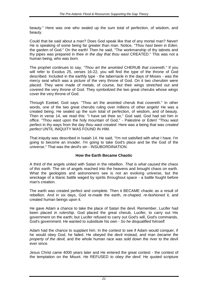beauty." Here was one who sealed up the sum total of perfection, of wisdom, and beauty.

Could that be said about a man? Does God speak like that of any mortal man? Never! He is speaking of some being far greater than man. Notice, *"Thou hast been in Eden,* the garden of God." On the earth! Then he said, "The workmanship of thy tabrets and thy pipes was prepared in thee *in the day that thou wast* CREATED." This was not a human being, who was *born.*

The prophet continues to say, *"Thou art the anointed* CHERUB *that covereth."* If you will refer to Exodus 25, verses 16-22, you will find the type of the throne of God described. Included in the earthly type - the tabernacle in the days of Moses - was the mercy seat which was a picture of the very throne of God. On it two cherubim were placed. They were made of metals, of course, but their wings stretched out and covered the very throne of God. They symbolized the two great cherubs whose wings cover the very throne of God.

Through Ezekiel, God says: "Thou art the anointed cherub that covereth." In other words, one of the two great cherubs ruling over millions of other angels! He was a created being. He sealed up the sum total of perfection, of wisdom, and of beauty. Then in verse 14, we read this: "I have set thee so," God said. God had set him in office. "Thou wast upon the holy mountain of God,'' - Palestine or Eden! "Thou wast perfect in thy ways from the day *thou wast created.* Here was a being that was *created perfect* UNTIL INIQUITY WAS FOUND IN HIM.

That iniquity was described in Isaiah 14. He said, "I'm not satisfied with what I have. I'm going to become an invader. I'm going to take God's place and be the God of the universe." That was the devil's sin - INSUBORDINATION.

#### **How the Earth Became Chaotic**

A third of the angels united with Satan in the rebellion. *That is what caused the chaos of this earth.* The sin of angels reached into the heavens and brought chaos on earth. What the geologists and astronomers see is not an evolving universe, but the wreckage of a titanic battle waged by spirits throughout space - a battle fought before man's creation.

The earth was created perfect and complete. Then it BECAME chaotic as a result of rebellion. And in six days, God *re-made* the earth, *re-shaped, re-fashioned* it, and created human beings upon it.

He gave Adam a chance to take the place of Satan the devil. Remember, Lucifer had been placed *in rulership.* God placed the great cherub, Lucifer, to carry out His government on the earth; but Lucifer refused to carry out God's will, God's commands, God's government. He wanted to substitute his own - *So he disqualified himself.*

Adam had the chance to supplant him. In the contest to see if Adam would conquer, if he would obey God, he failed. He obeyed the devil instead, and man *became the property of the devil,* and the whole human race was sold down the river to the devil ever since.

Jesus Christ came 4000 years later and He entered the great contest - the contest of the temptation on the Mount. *He* REFUSED *to obey the devil.* He quoted scripture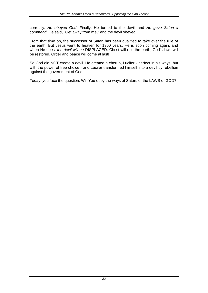correctly. *He obeyed God.* Finally, He turned to the devil, and *He gave Satan a command.* He said, "Get away from me," and the devil obeyed!

From that time on, the successor of Satan has been qualified to take over the rule of the earth. But Jesus went to heaven for 1900 years. He is soon coming again, and when He does, *the devil will be* DISPLACED. Christ will rule the earth; God's laws will be restored. Order and peace will come at last!

So God did NOT create a devil. He created a cherub, Lucifer - perfect in his ways, but with the power of free choice - and Lucifer transformed himself into a devil by rebellion against the government of God!

Today, you face the question: Will You obey the ways of Satan, or the LAWS of GOD?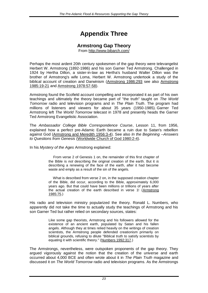# <span id="page-22-0"></span>**Appendix Three**

#### **Armstrong Gap Theory**

From<http://www.bibarch.com/>

Perhaps the most ardent 20th century spokesmen of the gap theory were televangelist Herbert W. Armstrong (1892-1986) and his son Garner Ted Armstrong. Challenged in 1924 by Hertha Dillon, a sister-in-law as Hertha's husband Walter Dillon was the brother of Armstrong's wife Loma, Herbert W. Armstrong undertook a study of the biblical account of creation and Darwinism [\(Armstrong 1986:293](http://www.bibarch.com/Copyright&Sources/a.htm#Armstrong-H-W-1986) see also [Armstrong](http://www.bibarch.com/Copyright&Sources/a.htm#Armstrong-H-W-1985)  [1985:19-21](http://www.bibarch.com/Copyright&Sources/a.htm#Armstrong-H-W-1985) and [Armstrong 1978:57-58\)](http://www.bibarch.com/Copyright&Sources/a.htm#Armstrong-H-W-1978).

Armstrong found the Scofield account compelling and incorporated it as part of his own teachings and ultimately the theory became part of "the truth" taught on *The World Tomorrow* radio and television programs and in *The Plain Truth*. The program had millions of listeners and viewers for about 35 years (1950-1985). Garner Ted Armstrong left *The World Tomorrow* telecast in 1978 and presently heads the Garner Ted Armstrong Evangelistic Association.

The *Ambassador College Bible Correspondence Course*, Lesson 11, from 1956, explained how a perfect pre-Adamic Earth became a ruin due to Satan's rebellion against God [\(Armstrong and Meredith 1956:3-4\)](http://www.bibarch.com/Copyright&Sources/a.htm#Armstrong&Meredith-1956). See also *In the Beginning --Answers to Questions from Genesis* [\(Worldwide Church of God 1980:2-4\)](http://www.bibarch.com/Copyright&Sources/W.htm#WCG-1980).

In his *Mystery of the Ages* Armstrong explained:

 From verse 2 of Genesis 1 on, the remainder of this first chapter of the Bible is *not* describing the original creation of the earth. But it *is* describing a renewing of the face of the earth, after it had become waste and empty as a result of the sin of the angels.

 What is described from verse 2 on, in the supposed creation chapter of the Bible, did occur, according to the Bible, approximately 6,000 years ago. But that could have been millions or trillions of years after the actual creation of the earth described in verse 1! [\(Armstrong](http://www.bibarch.com/Copyright&Sources/a.htm#Armstrong-H-W-1985)  [1985:75.](http://www.bibarch.com/Copyright&Sources/a.htm#Armstrong-H-W-1985))

His radio and television ministry popularized the theory. Ronald L. Numbers, who apparently did not take the time to actually study the teachings of Armstrong and his son Garner Ted but rather relied on secondary sources, states:

> Like some gap theorists, Armstrong and his followers allowed for the existence of an ancient earth, populated by Satan and his fallen angels. Although they at times relied heavily on the writings of creation scientists, the Armstrong people defended creationism primarily on biblical grounds, refusing to dilute "Biblical truth to satisfy scientists by equating it with scientific theory." [\(Numbers 1992:317.](http://www.bibarch.com/Copyright&Sources/N.htm#Numbers-R-1992))

The Armstrongs, nevertheless, were outspoken proponents of the gap theory. They argued vigorously against the notion that the creation of the universe and earth occurred about 4,000 BCE and often wrote about it in *The Plain Truth* magazine and discussed it on *The World Tomorrow* radio and television programs. As the Armstrongs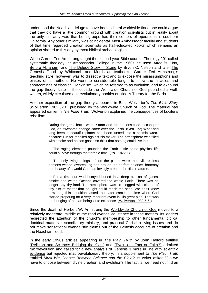understood the Noachian deluge to have been a literal worldwide flood one could argue that they did have a little common ground with creation scientists but in reality about the only similarity was that both groups had their centers of operations in southern California. Any other similarity was coincidental. Most Ambassador faculty and students of that time regarded creation scientists as half-educated kooks which remains an opinion shared to this day by most biblical archaeologists.

When Garner Ted Armstrong taught the second year Bible course, Theology 201 called systematic theology, at Ambassador College in the 1960s he used *[After its Kind,](http://www.bibarch.com/Copyright&Sources/N.htm#Nelson-B-C-1952)*  [Before Abraham,](http://www.bibarch.com/Copyright&Sources/N.htm#Nelson-B-C-1948) and [The Deluge Story in Stone](http://www.bibarch.com/Copyright&Sources/N.htm#Nelson-B-C-1931) by Bryon C. Nelson and later [The](http://www.bibarch.com/Copyright&Sources/W.htm#Whitcomb-John&Morris-Henry-1963)  [Genesis Flood](http://www.bibarch.com/Copyright&Sources/W.htm#Whitcomb-John&Morris-Henry-1963) by Whitcomb and Morris as textbooks. Garner Ted Armstrong's teaching style, however, was to dissect a text and to expose the misassumptions and biases of its authors. He went to considerable length to show the fallacies and shortcomings of classical Darwinism, which he referred to as evolution, and to expound the gap theory. Late in the decade the Worldwide Church of God published a wellwritten, widely circulated anti-evolutionary booklet entitled [A Theory for the Birds.](http://www.bibarch.com/Copyright&Sources/W.htm#WCG-1967)

Another exposition of the gap theory appeared in Basil Wolverton's *The Bible Story* [\(Wolverton 1982:3-10\)](http://www.bibarch.com/Copyright&Sources/W.htm#Wolverton-B-1982) published by the Worldwide Church of God. The material had appeared earlier in *The Plain Truth*. Wolverton explained the consequences of Lucifer's rebellion:

> During the great battle when Satan and his demons tried to conquer God, an awesome change came over the Earth. (Gen. 1:2) What had long been a beautiful planet had been turned into a cosmic wreck because Lucifer rebelled against his maker. The atmosphere was filled with smoke and poison gases so thick that nothing could live in it.

> The raging elements pounded the Earth. Little or no physical life could survive through that terrible time. (Ps. 104:29.)

> The only living beings left on the planet were the evil, restless demons whose lawbreaking had broken the perfect balance, harmony and beauty of a world God had lovingly created for His creatures.

> For a time our world stayed buried in a deep blanket of gases, smoke and water. Oceans covered the whole Earth. There was no longer any dry land. The atmosphere was so clogged with clouds of tiny bits of matter that no light could reach the seas. We don't know how long this condition lasted, but later came the time when God started preparing for a very important event in His great plan. That was the bringing of human beings into existence. [\(Wolverton 1982:5-6.\)](http://www.bibarch.com/Copyright&Sources/W.htm#Wolverton-B-1982)

Since the death of Herbert W. Armstrong the [Worldwide Church of God](http://www.wcg.org/) moved to a relatively moderate, middle of the road evangelical stance in these matters. Its leaders redirected the attention of the church's membership to other fundamental biblical doctrinal matters, reconciliatory ministry, and practical Christian living issues and do not make sensational evangelistic claims out of the Genesis accounts of creation and the Noachian flood.

In the early 1990s articles appearing in *[The Plain Truth](http://www.ptm.org/)* by John Halford entitled ["Religion and Science: Bridging the Gap"](http://www.bibarch.com/Copyright&Sources/H.htm#Halford-J-1994) and ["Evolution: Fact or Faith?"](http://www.bibarch.com/Copyright&Sources/H.htm#Halford-J-1994) admitted microevolution and called for a new analysis of Genesis 1 more in line with [scientific](http://www.bibarch.com/Concepts/ScientificMethod.htm)  [evidence](http://www.bibarch.com/Concepts/ScientificMethod.htm) but rejected macroevolutionary theory. In a supplement to *The Plain Truth* entitled *[Must We Choose Between Science and the Bible?](http://www.bibarch.com/Copyright&Sources/W.htm#WCG-1994)* its writer asked "Do we have to choose between divine creation and evolution? The fact is, we need not find an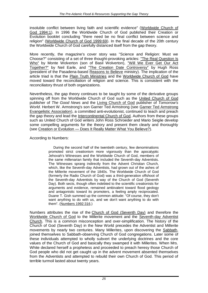insoluble conflict between living faith and scientific evidence" [\(Worldwide Church of](http://www.bibarch.com/Copyright&Sources/W.htm#WCG-1994)  [God 1994:1\)](http://www.bibarch.com/Copyright&Sources/W.htm#WCG-1994). In 1996 the Worldwide Church of God published their Creation or Evolution booklet concluding "there need be no final conflict between science and religion" [\(Worldwide Church of God 1999:69\)](http://www.bibarch.com/Copyright&Sources/W.htm#WCG-1996). In the final decade of the 20th century the Worldwide Church of God carefully distanced itself from the gap theory.

More recently, the magazine's cover story was "Science and Religion: Must we Choose?" consisting of a set of three thought-provoking articles: ["The Real Question Is](http://www.bibarch.com/Copyright&Sources/W.htm#Wolverton-M-2000)  [Who"](http://www.bibarch.com/Copyright&Sources/W.htm#Wolverton-M-2000) by Monte Wolverton (son of Basil Wolverton), ["Will We Ever Get Our Act](http://www.bibarch.com/Copyright&Sources/E.htm#Earle-N-2000)  [Together?"](http://www.bibarch.com/Copyright&Sources/E.htm#Earle-N-2000) by Neil Earle, and ["The Creation Date Controversy"](http://www.bibarch.com/Copyright&Sources/R.htm#Ross-H-2000) by Hugh Ross (president of the Pasadena-based [Reasons to Believe](http://www.reasons.org/) ministry). The implication of the article triad is that the [Plain Truth Ministries](http://www.ptm.org/) and the [Worldwide Church of God](http://www.wcg.org/) have moved toward the reconciliation of religion and science. This is consistent with the reconciliatory thrust of both organizations.

Nevertheless, the gap theory continues to be taught by some of the derivative groups spinning off from the Worldwide Church of God such as the [United Church of God](http://www.ucg.org/) publisher of *The Good News* and the [Living Church of God](http://www.livingcog.org/) publisher of *Tomorrow's World*. Herbert W. Armstrong's son Garner Ted Armstrong (see [Garner Ted Armstrong](http://www.garnertedarmstrong.ws/)  [Evangelistic Association\)](http://www.garnertedarmstrong.ws/), a committed anti-evolutionist, continued to teach and preach the gap theory and lead the [Intercontinental Church of God.](http://www.intercontinentalcog.org/) Authors from these groups such as United Church of God writers John Ross Schroeder and Mario Seiglie develop some compelling arguments for the theory and present them clearly and thoroughly (see Creation or Evolution — [Does It Really Matter What You Believe?\)](http://www.gnmagazine.org/booklets/ev/index.htm).

According to Numbers:

 During the second half of the twentieth century, few denominations promoted strict creationism more vigorously than the apocalyptic Jehovah's Witnesses and the Worldwide Church of God, members of the same millenarian family that included the Seventh-day Adventists. The Witnesses sprang indirectly from the Advent Christian Church, which, like the Seventh-day Adventists, had grown out of the ashes of the Millerite movement of the 1840s. The Worldwide Church of God (formerly the Radio Church of God) was a third-generation offshoot of the Seventh-day Adventists by way of the Church of God (Seventh Day). Both sects, though often indebted to the scientific creationists for arguments and evidence, remained ambivalent toward flood geology and antagonistic toward its promoters, a feeling amply reciprocated. Duane T. Gish summed up the common attitude: "Of course, they don't want anything to do with us, and we don't want anything to do with them". [\(Numbers 1992:316.](http://www.bibarch.com/Copyright&Sources/N.htm#Numbers-R-1992))

Numbers attributes the rise of the [Church of God \(Seventh Day\)](http://www.cog7.org/home.html) and therefore the [Worldwide Church of God](http://www.wcg.org/) to the Millerite movement and the [Seventh-day Adventist](http://www.adventist.org/)  [Church.](http://www.adventist.org/) This is a common misconception and over-simplification. The history of the Church of God (Seventh Day) in the New World precedes the Adventist and Millerite movements by nearly two centuries. Many Millerites, upon discovering the [Sabbath,](http://www.bibarch.com/glossary/S.html#Sabbath) joined themselves to Sabbath-observing Church of God congregations. Later some of these individuals attempted to wholly subvert the underlying doctrines and the core values of the Church of God and basically they swamped it with Millerites. When Mrs. White declared herself a prophetess and proceeded to preach heresy those Church of God people who did not get caught up in the advent movement absented themselves from the Adventists and attempted to rebuild their own Church of God. This period of terrible turmoil lasted about twenty years.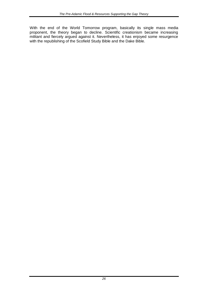With the end of the World Tomorrow program, basically its single mass media proponent, the theory began to decline. Scientific creationism became increasing militant and fiercely argued against it. Nevertheless, it has enjoyed some resurgence with the republishing of the Scofield Study Bible and the Dake Bible.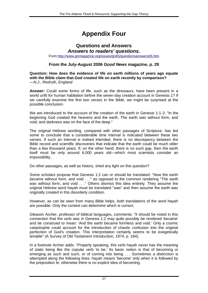# <span id="page-26-0"></span>**Appendix Four**

#### **Questions and Answers** *Answers to readers' questions.*

From<http://www.gnmagazine.org/issues/gn65/questionsanswers65.htm>

#### **From the July-August 2006** *Good News* **magazine, p. 29**

**Question: How does the evidence of life on earth millions of years ago equate with the Bible claim that God created life on earth recently by comparison?**  *—N.J., Redruth, England*

**Answer:** Could some forms of life, such as the dinosaurs, have been present in a world unfit for human habitation before the seven-day creation account in Genesis 1? If we carefully examine the first two verses in the Bible, we might be surprised at the possible conclusion.

We are introduced to the account of the creation of the earth in Genesis 1:1-2: "In the beginning God created the heavens and the earth. The earth was without form, and void; and darkness was on the face of the deep."

The original Hebrew wording, compared with other passages of Scripture, has led some to conclude that a considerable time interval is indicated between these two verses. If such an interval is indeed intended, there is no discrepancy between the Bible record and scientific discoveries that indicate that the earth could be much older than a few thousand years. If, on the other hand, there is no such gap, then the earth itself must be only around 6,000 years old—which most scientists consider an impossibility.

Do other passages, as well as history, shed any light on this question?

Some scholars propose that Genesis 1:2 can or should be translated: "Now the earth *became* without form, and void . . ." as opposed to the common rendering "The earth was without form, and void . . ." Others dismiss this idea entirely. They assume the original Hebrew word hayah must be translated "was" and then assume the earth was originally created in this disorderly condition.

However, as can be seen from many Bible helps, both translations of the word hayah are possible. Only the context can determine which is correct.

Gleason Archer, professor of biblical languages, comments: "It should be noted in this connection that the verb *was* in Genesis 1:2 may quite possibly be rendered 'became' and be construed to mean: 'And the earth became formless and void.' Only a cosmic catastrophe could account for the introduction of chaotic confusion into the original perfection of God's creation. This interpretation certainly seems to be exegetically tenable" (A Survey of Old Testament Introduction*,* 1974, p. 184).

In a footnote Archer adds: "Properly speaking, this verb hayah never has the meaning of static being like the copular verb 'to be.' Its basic notion is that of becoming or emerging as such and such, or of coming into being . . . Sometimes a distinction is attempted along the following lines: hayah means 'become' only when it is followed by the preposition *le;* otherwise there is no explicit idea of becoming.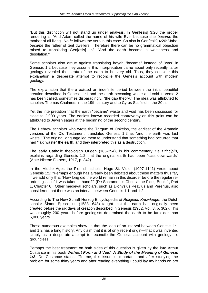"But this distinction will not stand up under analysis. In Gen[esis] 3:20 the proper rendering is: 'And Adam called the name of his wife Eve, because she *became* the mother of all living.' No *le* follows the verb in this case. So also in Gen[esis] 4:20: 'Jabal *became* the father of tent dwellers.' Therefore there can be no grammatical objection raised to translating Gen[esis] 1:2: 'And the earth became a wasteness and desolation.'"

Some scholars also argue against translating hayah "became" instead of "was" in Genesis 1:2 because they assume this interpretation came about only recently, after geology revealed the strata of the earth to be very old. Thus, they consider this explanation a desperate attempt to reconcile the Genesis account with modern geology.

The explanation that there existed an indefinite period between the initial beautiful creation described in Genesis 1:1 and the earth becoming waste and void in verse 2 has been called, sometimes disparagingly, "the gap theory." The idea was attributed to scholars Thomas Chalmers in the 19th century and to Cyrus Scofield in the 20th.

Yet the interpretation that the earth "became" waste and void has been discussed for close to 2,000 years. The earliest known recorded controversy on this point can be attributed to Jewish sages at the beginning of the second century.

The Hebrew scholars who wrote the Targum of Onkelos, the earliest of the Aramaic versions of the Old Testament, translated Genesis 1:2 as "and the earth was laid waste." The original language led them to understand that something had occurred that had "laid waste" the earth, and they interpreted this as a destruction.

The early Catholic theologian Origen (186-254), in his commentary *De Principiis,*  explains regarding Genesis 1:2 that the original earth had been "cast downwards" (Ante-Nicene Fathers*,* 1917, p. 342).

In the Middle Ages the Flemish scholar Hugo St. Victor (1097-1141) wrote about Genesis 1:2: "Perhaps enough has already been debated about these matters thus far, if we add only this: 'How long did the world remain in this disorder before the regular reordering . . . of it was taken in hand?'" (De Sacramentis Christianae Fidei*,* Book 1, Part 1, Chapter 6). Other medieval scholars, such as Dionysius Peavius and Pererius, also considered that there was an interval between Genesis 1:1 and 1:2.

According to The New Schaff-Herzog Encyclopedia *of Religious Knowledge,* the Dutch scholar Simon Episcopius (1583-1643) taught that the earth had originally been created before the six days of creation described in Genesis (1952, Vol. 3, p. 302). This was roughly 200 years before geologists determined the earth to be far older than 6,000 years.

These numerous examples show us that the idea of an interval between Genesis 1:1 and 1:2 has a long history. Any claim that it is of only recent origin—that it was invented simply as a desperate attempt to reconcile the Genesis account with geology—is groundless.

Perhaps the best treatment on both sides of this question is given by the late Arthur Custance in his book *Without Form and Void: A Study of the Meaning of Genesis 1:2*. Dr. Custance states, "To me, this issue is important, and after studying the problem for some thirty years and after reading everything I could lay my hands on pro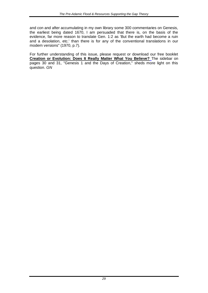and con and after accumulating in my own library some 300 commentaries on Genesis, the earliest being dated 1670, I am persuaded that there is, on the basis of the evidence, far more reason to translate Gen. 1:2 as 'But the earth had become a ruin and a desolation, etc.' than there is for any of the conventional translations in our modern versions" (1970, p.7).

For further understanding of this issue, please request or download our free booklet **[Creation or Evolution: Does It Really Matter What You Believe?](http://www.gnmagazine.org/booklets/EV/)** The sidebar on pages 30 and 31, "Genesis 1 and the Days of Creation," sheds more light on this question. *GN*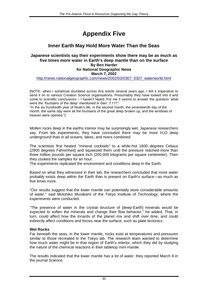# <span id="page-29-0"></span>**Appendix Five**

#### **Inner Earth May Hold More Water Than the Seas**

#### **Japanese scientists say their experiments show there may be as much as five times more water in Earth's deep mantle than on the surface By Ben Harder for National Geographic News March 7, 2002**

[http://news.nationalgeographic.com/news/2002/03/0307\\_0307\\_waterworld.html](http://news.nationalgeographic.com/news/2002/03/0307_0307_waterworld.html)

[NOTE: when I somehow stumbled across this article several years ago, I felt it imperative to send it on to various Creation Science organisations. Presumably they have looked into it and come to scientific conclusions – I haven't heard. For me it seems to answer the question *'what were the 'fountains of the deep' mentioned in Gen. 7:11?':*

"In the six hundredth year of Noah's life, in the second month, the seventeenth day of the month, the same day were all the fountains of the great deep broken up, and the windows of heaven were opened."]

Molten rocks deep in the earths interior may be surprisingly wet, Japanese researchers say. From lab experiments, they have concluded there may be more  $H_2O$  deep underground than in all oceans, lakes, and rivers combined.

The scientists first heated "mineral cocktails" to a white-hot 1600 degrees Celsius (2900 degrees Fahrenheit) and squeezed them until the pressure reached more than three million pounds per square inch (200,000 kilograms per square centimeter). Then they cooked the samples for an hour.

The experiments replicated the environment and conditions deep in the Earth.

Based on what they witnessed in their lab, the researchers concluded that more water probably exists deep within the Earth than is present on Earth's surface—as much as five times more.

"Our results suggest that the lower mantle can potentially store considerable amounts of water," said Motohiko Murakami of the Tokyo Institute of Technology, where the experiments were conducted.

"The presence of water in the crystal structure of [deep-Earth] minerals would be expected to soften the minerals and change their flow behavior," he added. That, in turn, could affect how the innards of the planet mix and shift over time, and could indirectly affect conditions and forces near the surface, such as plate tectonics.

#### **Wet Rocks**

Far beneath the seas, in the lower mantle, rocks exist at temperatures and pressures similar to those recreated in the Tokyo lab. The research team wanted to determine how much water might be in that region of Earth's interior, which they did by studying the nature of the chemical reactions in their tabletop mini-mantle.

The results indicated that the lower mantle has a lot of water, they reported March 8 in the journal *Science.*